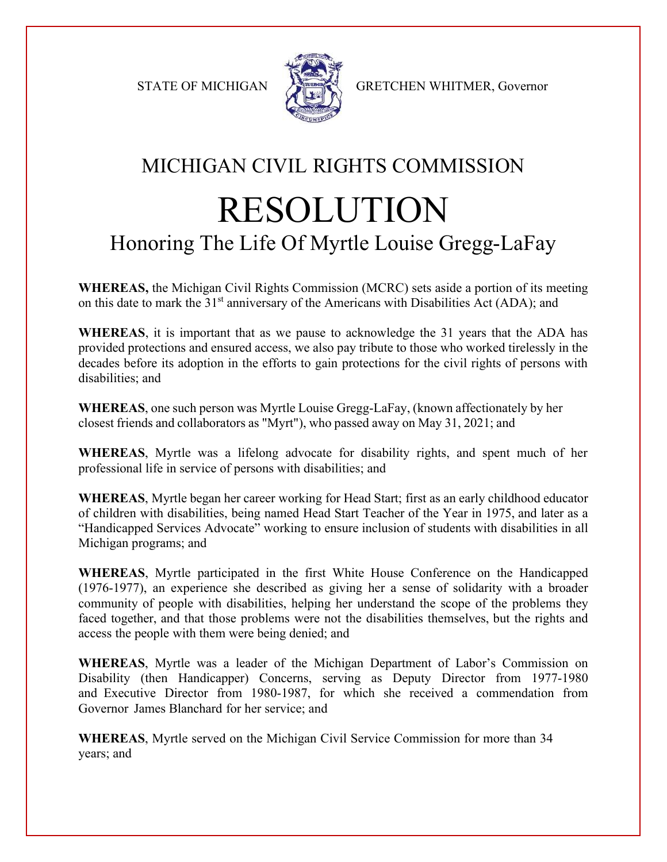

STATE OF MICHIGAN A GRETCHEN WHITMER, Governor

## MICHIGAN CIVIL RIGHTS COMMISSION RESOLUTION Honoring The Life Of Myrtle Louise Gregg-LaFay

**WHEREAS,** the Michigan Civil Rights Commission (MCRC) sets aside a portion of its meeting on this date to mark the  $31<sup>st</sup>$  anniversary of the Americans with Disabilities Act (ADA); and

**WHEREAS**, it is important that as we pause to acknowledge the 31 years that the ADA has provided protections and ensured access, we also pay tribute to those who worked tirelessly in the decades before its adoption in the efforts to gain protections for the civil rights of persons with disabilities; and

**WHEREAS**, one such person was Myrtle Louise Gregg-LaFay, (known affectionately by her closest friends and collaborators as "Myrt"), who passed away on May 31, 2021; and

**WHEREAS**, Myrtle was a lifelong advocate for disability rights, and spent much of her professional life in service of persons with disabilities; and

**WHEREAS**, Myrtle began her career working for Head Start; first as an early childhood educator of children with disabilities, being named Head Start Teacher of the Year in 1975, and later as a "Handicapped Services Advocate" working to ensure inclusion of students with disabilities in all Michigan programs; and

**WHEREAS**, Myrtle participated in the first White House Conference on the Handicapped (1976-1977), an experience she described as giving her a sense of solidarity with a broader community of people with disabilities, helping her understand the scope of the problems they faced together, and that those problems were not the disabilities themselves, but the rights and access the people with them were being denied; and

**WHEREAS**, Myrtle was a leader of the Michigan Department of Labor's Commission on Disability (then Handicapper) Concerns, serving as Deputy Director from 1977-1980 and Executive Director from 1980-1987, for which she received a commendation from Governor James Blanchard for her service; and

**WHEREAS**, Myrtle served on the Michigan Civil Service Commission for more than 34 years; and